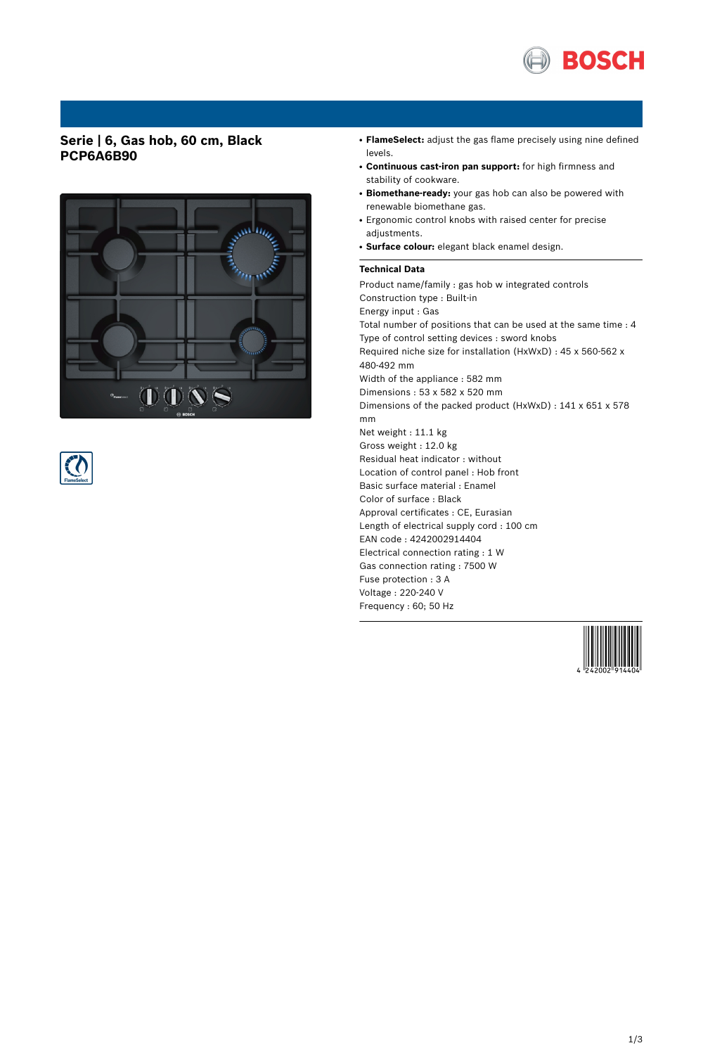

## **Serie | 6, Gas hob, 60 cm, Black PCP6A6B90**





- **FlameSelect:** adjust the gas flame precisely using nine defined levels.
- **Continuous cast-iron pan support:** for high firmness and stability of cookware.
- **Biomethane-ready:** your gas hob can also be powered with renewable biomethane gas.
- Ergonomic control knobs with raised center for precise adjustments.
- **Surface colour:** elegant black enamel design.

### **Technical Data**

Product name/family : gas hob w integrated controls Construction type : Built-in Energy input : Gas Total number of positions that can be used at the same time : 4 Type of control setting devices : sword knobs Required niche size for installation (HxWxD) : 45 x 560-562 x 480-492 mm Width of the appliance : 582 mm Dimensions : 53 x 582 x 520 mm Dimensions of the packed product (HxWxD) : 141 x 651 x 578 mm Net weight : 11.1 kg Gross weight : 12.0 kg Residual heat indicator : without Location of control panel : Hob front Basic surface material : Enamel Color of surface : Black Approval certificates : CE, Eurasian Length of electrical supply cord : 100 cm EAN code : 4242002914404 Electrical connection rating : 1 W Gas connection rating : 7500 W Fuse protection : 3 A Voltage : 220-240 V Frequency : 60; 50 Hz

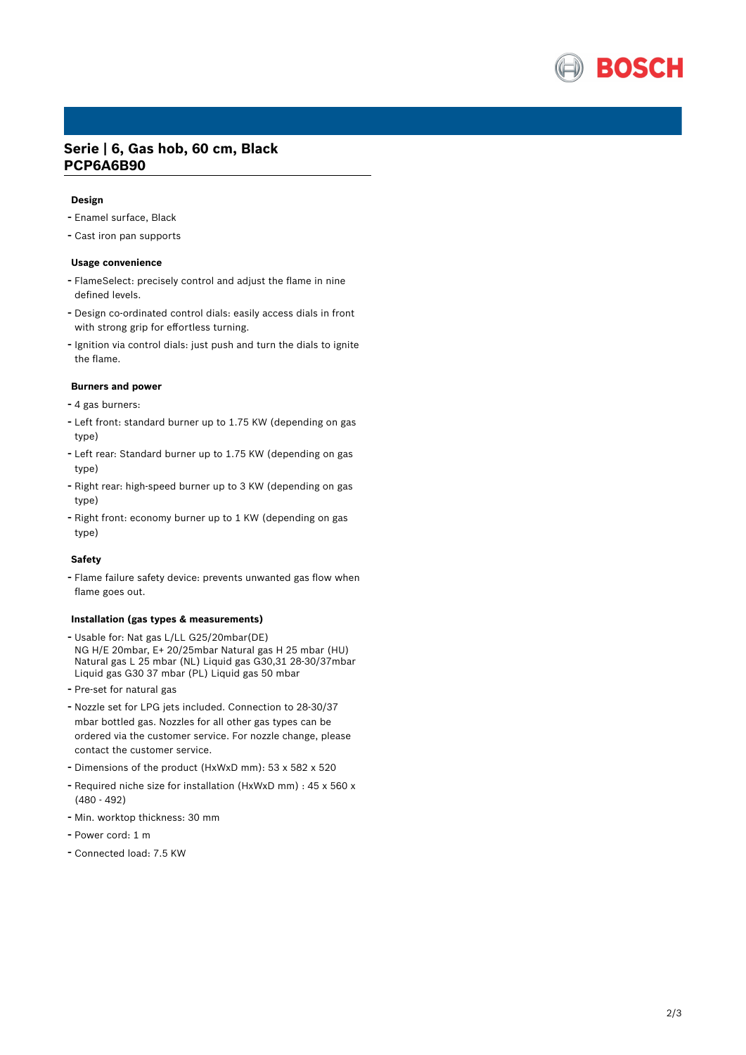

## **Serie | 6, Gas hob, 60 cm, Black PCP6A6B90**

#### **Design**

- Enamel surface, Black
- Cast iron pan supports

### **Usage convenience**

- FlameSelect: precisely control and adjust the flame in nine defined levels.
- Design co-ordinated control dials: easily access dials in front with strong grip for effortless turning.
- Ignition via control dials: just push and turn the dials to ignite the flame.

### **Burners and power**

- <sup>4</sup> gas burners:
- Left front: standard burner up to 1.75 KW (depending on gas type)
- Left rear: Standard burner up to 1.75 KW (depending on gas type)
- Right rear: high-speed burner up to <sup>3</sup> KW (depending on gas type)
- Right front: economy burner up to <sup>1</sup> KW (depending on gas type)

### **Safety**

- Flame failure safety device: prevents unwanted gas flow when flame goes out.

#### **Installation (gas types & measurements)**

- Usable for: Nat gas L/LL G25/20mbar(DE) NG H/E 20mbar, E+ 20/25mbar Natural gas H 25 mbar (HU) Natural gas L 25 mbar (NL) Liquid gas G30,31 28-30/37mbar Liquid gas G30 37 mbar (PL) Liquid gas 50 mbar
- Pre-set for natural gas
- Nozzle set for LPG jets included. Connection to 28-30/37 mbar bottled gas. Nozzles for all other gas types can be ordered via the customer service. For nozzle change, please contact the customer service.
- Dimensions of the product (HxWxD mm): <sup>53</sup> <sup>x</sup> <sup>582</sup> <sup>x</sup> <sup>520</sup>
- Required niche size for installation (HxWxD mm) : <sup>45</sup> <sup>x</sup> <sup>560</sup> <sup>x</sup> (480 - 492)
- Min. worktop thickness: <sup>30</sup> mm
- Power cord: <sup>1</sup> <sup>m</sup>
- Connected load: 7.5 KW